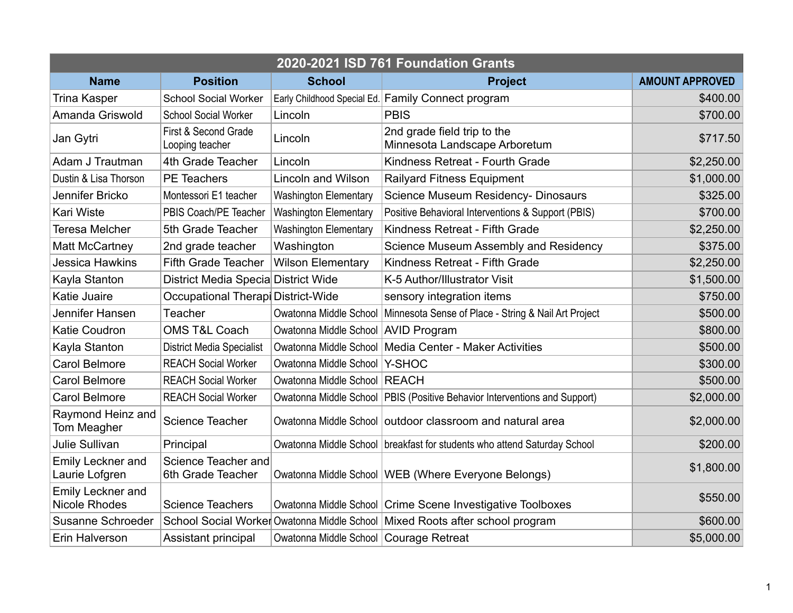| 2020-2021 ISD 761 Foundation Grants              |                                          |                                          |                                                                               |                        |  |  |  |
|--------------------------------------------------|------------------------------------------|------------------------------------------|-------------------------------------------------------------------------------|------------------------|--|--|--|
| <b>Name</b>                                      | <b>Position</b>                          | <b>School</b>                            | <b>Project</b>                                                                | <b>AMOUNT APPROVED</b> |  |  |  |
| <b>Trina Kasper</b>                              | <b>School Social Worker</b>              |                                          | Early Childhood Special Ed. Family Connect program                            | \$400.00               |  |  |  |
| Amanda Griswold                                  | <b>School Social Worker</b>              | Lincoln                                  | <b>PBIS</b>                                                                   | \$700.00               |  |  |  |
| Jan Gytri                                        | First & Second Grade<br>Looping teacher  | Lincoln                                  | 2nd grade field trip to the<br>Minnesota Landscape Arboretum                  | \$717.50               |  |  |  |
| Adam J Trautman                                  | 4th Grade Teacher                        | Lincoln                                  | Kindness Retreat - Fourth Grade                                               | \$2,250.00             |  |  |  |
| Dustin & Lisa Thorson                            | <b>PE Teachers</b>                       | <b>Lincoln and Wilson</b>                | <b>Railyard Fitness Equipment</b>                                             | \$1,000.00             |  |  |  |
| Jennifer Bricko                                  | Montessori E1 teacher                    | <b>Washington Elementary</b>             | <b>Science Museum Residency- Dinosaurs</b>                                    | \$325.00               |  |  |  |
| <b>Kari Wiste</b>                                | PBIS Coach/PE Teacher                    | <b>Washington Elementary</b>             | Positive Behavioral Interventions & Support (PBIS)                            | \$700.00               |  |  |  |
| <b>Teresa Melcher</b>                            | 5th Grade Teacher                        | <b>Washington Elementary</b>             | Kindness Retreat - Fifth Grade                                                | \$2,250.00             |  |  |  |
| <b>Matt McCartney</b>                            | 2nd grade teacher                        | Washington                               | Science Museum Assembly and Residency                                         | \$375.00               |  |  |  |
| <b>Jessica Hawkins</b>                           | <b>Fifth Grade Teacher</b>               | <b>Wilson Elementary</b>                 | Kindness Retreat - Fifth Grade                                                | \$2,250.00             |  |  |  |
| Kayla Stanton                                    | District Media Specia District Wide      |                                          | K-5 Author/Illustrator Visit                                                  | \$1,500.00             |  |  |  |
| <b>Katie Juaire</b>                              | Occupational Therapi District-Wide       |                                          | sensory integration items                                                     | \$750.00               |  |  |  |
| Jennifer Hansen                                  | Teacher                                  |                                          | Owatonna Middle School   Minnesota Sense of Place - String & Nail Art Project | \$500.00               |  |  |  |
| <b>Katie Coudron</b>                             | <b>OMS T&amp;L Coach</b>                 | Owatonna Middle School   AVID Program    |                                                                               | \$800.00               |  |  |  |
| Kayla Stanton                                    | <b>District Media Specialist</b>         |                                          | Owatonna Middle School   Media Center - Maker Activities                      | \$500.00               |  |  |  |
| <b>Carol Belmore</b>                             | <b>REACH Social Worker</b>               | Owatonna Middle School   Y-SHOC          |                                                                               | \$300.00               |  |  |  |
| <b>Carol Belmore</b>                             | <b>REACH Social Worker</b>               | Owatonna Middle School   REACH           |                                                                               | \$500.00               |  |  |  |
| <b>Carol Belmore</b>                             | <b>REACH Social Worker</b>               |                                          | Owatonna Middle School   PBIS (Positive Behavior Interventions and Support)   | \$2,000.00             |  |  |  |
| Raymond Heinz and<br>Tom Meagher                 | Science Teacher                          |                                          | Owatonna Middle School outdoor classroom and natural area                     | \$2,000.00             |  |  |  |
| <b>Julie Sullivan</b>                            | Principal                                |                                          | Owatonna Middle School   breakfast for students who attend Saturday School    | \$200.00               |  |  |  |
| Emily Leckner and<br>Laurie Lofgren              | Science Teacher and<br>6th Grade Teacher |                                          | Owatonna Middle School   WEB (Where Everyone Belongs)                         | \$1,800.00             |  |  |  |
| <b>Emily Leckner and</b><br><b>Nicole Rhodes</b> | <b>Science Teachers</b>                  |                                          | Owatonna Middle School Crime Scene Investigative Toolboxes                    | \$550.00               |  |  |  |
| Susanne Schroeder                                |                                          |                                          | School Social Worker Owatonna Middle School Mixed Roots after school program  | \$600.00               |  |  |  |
| Erin Halverson                                   | Assistant principal                      | Owatonna Middle School   Courage Retreat |                                                                               | \$5,000.00             |  |  |  |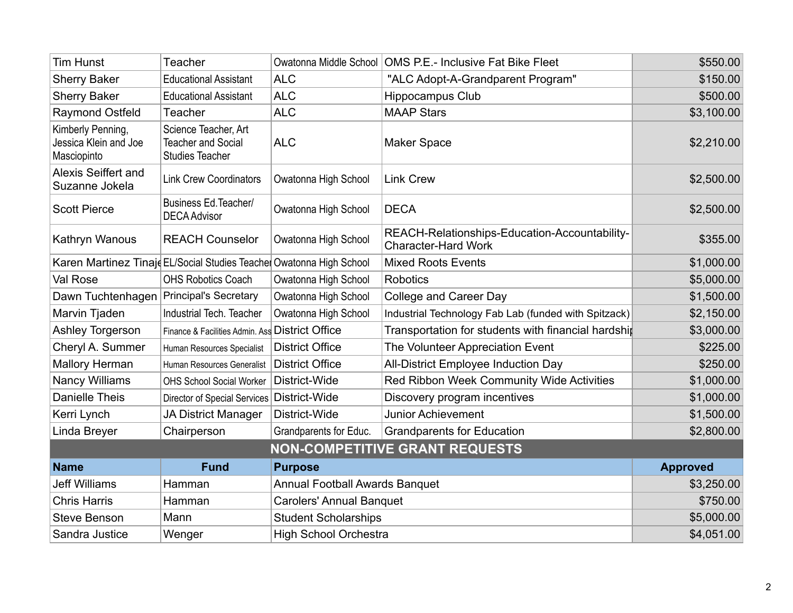| <b>Tim Hunst</b>                                          | Teacher                                                                     |                                       | Owatonna Middle School   OMS P.E.- Inclusive Fat Bike Fleet                 | \$550.00        |  |  |  |
|-----------------------------------------------------------|-----------------------------------------------------------------------------|---------------------------------------|-----------------------------------------------------------------------------|-----------------|--|--|--|
| <b>Sherry Baker</b>                                       | <b>Educational Assistant</b>                                                | <b>ALC</b>                            | "ALC Adopt-A-Grandparent Program"                                           | \$150.00        |  |  |  |
| <b>Sherry Baker</b>                                       | <b>Educational Assistant</b>                                                | <b>ALC</b>                            | <b>Hippocampus Club</b>                                                     | \$500.00        |  |  |  |
| <b>Raymond Ostfeld</b>                                    | Teacher                                                                     | <b>ALC</b>                            | <b>MAAP Stars</b>                                                           | \$3,100.00      |  |  |  |
| Kimberly Penning,<br>Jessica Klein and Joe<br>Masciopinto | Science Teacher, Art<br><b>Teacher and Social</b><br><b>Studies Teacher</b> | <b>ALC</b>                            | <b>Maker Space</b>                                                          | \$2,210.00      |  |  |  |
| <b>Alexis Seiffert and</b><br>Suzanne Jokela              | <b>Link Crew Coordinators</b>                                               | Owatonna High School                  | <b>Link Crew</b>                                                            | \$2,500.00      |  |  |  |
| <b>Scott Pierce</b>                                       | Business Ed. Teacher/<br><b>DECA Advisor</b>                                | Owatonna High School                  | <b>DECA</b>                                                                 | \$2,500.00      |  |  |  |
| Kathryn Wanous                                            | <b>REACH Counselor</b>                                                      | Owatonna High School                  | REACH-Relationships-Education-Accountability-<br><b>Character-Hard Work</b> | \$355.00        |  |  |  |
|                                                           | Karen Martinez Tinaje EL/Social Studies Teacher Owatonna High School        |                                       | <b>Mixed Roots Events</b>                                                   | \$1,000.00      |  |  |  |
| Val Rose                                                  | <b>OHS Robotics Coach</b>                                                   | Owatonna High School                  | <b>Robotics</b>                                                             | \$5,000.00      |  |  |  |
| Dawn Tuchtenhagen                                         | Principal's Secretary                                                       | Owatonna High School                  | <b>College and Career Day</b>                                               | \$1,500.00      |  |  |  |
| Marvin Tjaden                                             | Industrial Tech. Teacher                                                    | Owatonna High School                  | Industrial Technology Fab Lab (funded with Spitzack)                        | \$2,150.00      |  |  |  |
| Ashley Torgerson                                          | Finance & Facilities Admin. Ass District Office                             |                                       | Transportation for students with financial hardship                         | \$3,000.00      |  |  |  |
| Cheryl A. Summer                                          | Human Resources Specialist                                                  | <b>District Office</b>                | The Volunteer Appreciation Event                                            | \$225.00        |  |  |  |
| <b>Mallory Herman</b>                                     | Human Resources Generalist                                                  | <b>District Office</b>                | All-District Employee Induction Day                                         | \$250.00        |  |  |  |
| <b>Nancy Williams</b>                                     | <b>OHS School Social Worker</b>                                             | District-Wide                         | Red Ribbon Week Community Wide Activities                                   | \$1,000.00      |  |  |  |
| <b>Danielle Theis</b>                                     | Director of Special Services   District-Wide                                |                                       | Discovery program incentives                                                | \$1,000.00      |  |  |  |
| Kerri Lynch                                               | <b>JA District Manager</b>                                                  | District-Wide                         | <b>Junior Achievement</b>                                                   | \$1,500.00      |  |  |  |
| Linda Breyer                                              | Chairperson                                                                 | Grandparents for Educ.                | <b>Grandparents for Education</b>                                           | \$2,800.00      |  |  |  |
| <b>NON-COMPETITIVE GRANT REQUESTS</b>                     |                                                                             |                                       |                                                                             |                 |  |  |  |
| <b>Name</b>                                               | <b>Fund</b>                                                                 | <b>Purpose</b>                        |                                                                             | <b>Approved</b> |  |  |  |
| <b>Jeff Williams</b>                                      | Hamman                                                                      | <b>Annual Football Awards Banquet</b> |                                                                             | \$3,250.00      |  |  |  |
| <b>Chris Harris</b>                                       | Hamman                                                                      | <b>Carolers' Annual Banquet</b>       |                                                                             | \$750.00        |  |  |  |
| <b>Steve Benson</b>                                       | Mann                                                                        | <b>Student Scholarships</b>           |                                                                             | \$5,000.00      |  |  |  |
| Sandra Justice                                            | Wenger                                                                      | <b>High School Orchestra</b>          |                                                                             | \$4,051.00      |  |  |  |